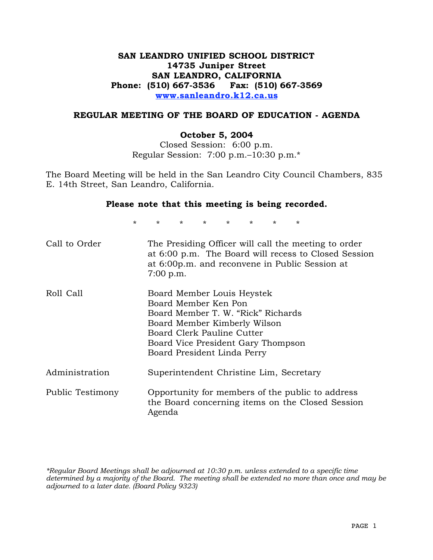## **SAN LEANDRO UNIFIED SCHOOL DISTRICT 14735 Juniper Street SAN LEANDRO, CALIFORNIA Phone: (510) 667-3536 Fax: (510) 667-3569 www.sanleandro.k12.ca.us**

### **REGULAR MEETING OF THE BOARD OF EDUCATION - AGENDA**

#### **October 5, 2004**

Closed Session: 6:00 p.m. Regular Session: 7:00 p.m.–10:30 p.m.\*

The Board Meeting will be held in the San Leandro City Council Chambers, 835 E. 14th Street, San Leandro, California.

#### **Please note that this meeting is being recorded.**

\* \* \* \* \* \* \* \*

| Call to Order    | The Presiding Officer will call the meeting to order<br>at 6:00 p.m. The Board will recess to Closed Session<br>at 6:00p.m. and reconvene in Public Session at<br>7:00 p.m.                                                 |
|------------------|-----------------------------------------------------------------------------------------------------------------------------------------------------------------------------------------------------------------------------|
| Roll Call        | Board Member Louis Heystek<br>Board Member Ken Pon<br>Board Member T. W. "Rick" Richards<br>Board Member Kimberly Wilson<br>Board Clerk Pauline Cutter<br>Board Vice President Gary Thompson<br>Board President Linda Perry |
| Administration   | Superintendent Christine Lim, Secretary                                                                                                                                                                                     |
| Public Testimony | Opportunity for members of the public to address<br>the Board concerning items on the Closed Session<br>Agenda                                                                                                              |

*\*Regular Board Meetings shall be adjourned at 10:30 p.m. unless extended to a specific time determined by a majority of the Board. The meeting shall be extended no more than once and may be adjourned to a later date. (Board Policy 9323)*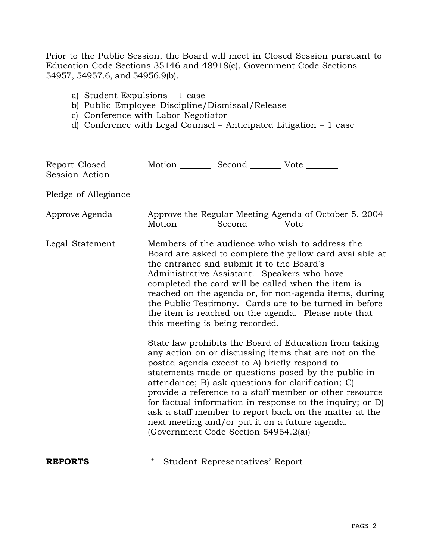Prior to the Public Session, the Board will meet in Closed Session pursuant to Education Code Sections 35146 and 48918(c), Government Code Sections 54957, 54957.6, and 54956.9(b).

- a) Student Expulsions 1 case
- b) Public Employee Discipline/Dismissal/Release
- c) Conference with Labor Negotiator
- d) Conference with Legal Counsel Anticipated Litigation 1 case

| Report Closed<br>Session Action | Motion __________ Second __________ Vote ________                                                                                                                                                                                                                                                                                                                                                                                                                                                                                                                                                                                                                                                                                                                                                                                                                                                                                                                                                                                        |
|---------------------------------|------------------------------------------------------------------------------------------------------------------------------------------------------------------------------------------------------------------------------------------------------------------------------------------------------------------------------------------------------------------------------------------------------------------------------------------------------------------------------------------------------------------------------------------------------------------------------------------------------------------------------------------------------------------------------------------------------------------------------------------------------------------------------------------------------------------------------------------------------------------------------------------------------------------------------------------------------------------------------------------------------------------------------------------|
| Pledge of Allegiance            |                                                                                                                                                                                                                                                                                                                                                                                                                                                                                                                                                                                                                                                                                                                                                                                                                                                                                                                                                                                                                                          |
| Approve Agenda                  | Approve the Regular Meeting Agenda of October 5, 2004<br>Motion __________ Second ___________ Vote ________                                                                                                                                                                                                                                                                                                                                                                                                                                                                                                                                                                                                                                                                                                                                                                                                                                                                                                                              |
| Legal Statement                 | Members of the audience who wish to address the<br>Board are asked to complete the yellow card available at<br>the entrance and submit it to the Board's<br>Administrative Assistant. Speakers who have<br>completed the card will be called when the item is<br>reached on the agenda or, for non-agenda items, during<br>the Public Testimony. Cards are to be turned in before<br>the item is reached on the agenda. Please note that<br>this meeting is being recorded.<br>State law prohibits the Board of Education from taking<br>any action on or discussing items that are not on the<br>posted agenda except to A) briefly respond to<br>statements made or questions posed by the public in<br>attendance; B) ask questions for clarification; C)<br>provide a reference to a staff member or other resource<br>for factual information in response to the inquiry; or D)<br>ask a staff member to report back on the matter at the<br>next meeting and/or put it on a future agenda.<br>(Government Code Section 54954.2(a)) |
| <b>REPORTS</b>                  | Student Representatives' Report<br>*                                                                                                                                                                                                                                                                                                                                                                                                                                                                                                                                                                                                                                                                                                                                                                                                                                                                                                                                                                                                     |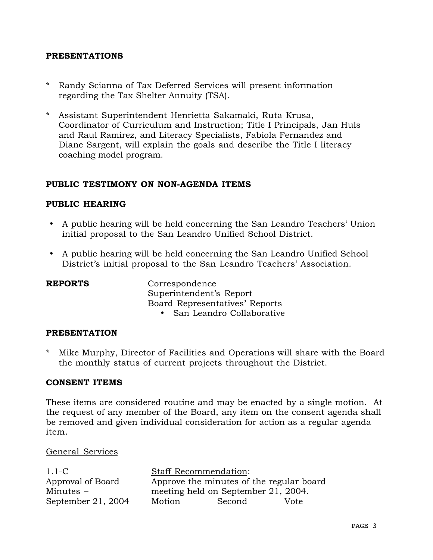### **PRESENTATIONS**

- \* Randy Scianna of Tax Deferred Services will present information regarding the Tax Shelter Annuity (TSA).
- \* Assistant Superintendent Henrietta Sakamaki, Ruta Krusa, Coordinator of Curriculum and Instruction; Title I Principals, Jan Huls and Raul Ramirez, and Literacy Specialists, Fabiola Fernandez and Diane Sargent, will explain the goals and describe the Title I literacy coaching model program.

### **PUBLIC TESTIMONY ON NON-AGENDA ITEMS**

### **PUBLIC HEARING**

- A public hearing will be held concerning the San Leandro Teachers' Union initial proposal to the San Leandro Unified School District.
- A public hearing will be held concerning the San Leandro Unified School District's initial proposal to the San Leandro Teachers' Association.

| <b>REPORTS</b> | Correspondence                 |
|----------------|--------------------------------|
|                | Superintendent's Report        |
|                | Board Representatives' Reports |
|                | • San Leandro Collaborative    |

### **PRESENTATION**

\* Mike Murphy, Director of Facilities and Operations will share with the Board the monthly status of current projects throughout the District.

### **CONSENT ITEMS**

These items are considered routine and may be enacted by a single motion. At the request of any member of the Board, any item on the consent agenda shall be removed and given individual consideration for action as a regular agenda item.

### General Services

| $1.1-C$            | <b>Staff Recommendation:</b> |                                          |      |
|--------------------|------------------------------|------------------------------------------|------|
| Approval of Board  |                              | Approve the minutes of the regular board |      |
| Minutes $-$        |                              | meeting held on September 21, 2004.      |      |
| September 21, 2004 | Motion                       | Second                                   | Vote |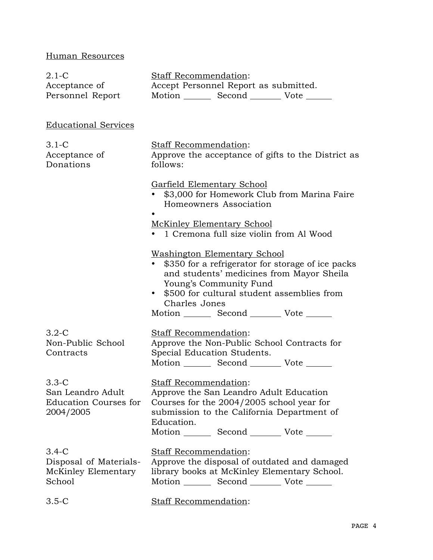# Human Resources

| $2.1-C$<br>Acceptance of<br>Personnel Report                                | <b>Staff Recommendation:</b><br>Accept Personnel Report as submitted.<br>Motion _________ Second ___________ Vote _______                                                                                                                                                                         |  |  |
|-----------------------------------------------------------------------------|---------------------------------------------------------------------------------------------------------------------------------------------------------------------------------------------------------------------------------------------------------------------------------------------------|--|--|
| <b>Educational Services</b>                                                 |                                                                                                                                                                                                                                                                                                   |  |  |
| $3.1-C$<br>Acceptance of<br>Donations                                       | Staff Recommendation:<br>Approve the acceptance of gifts to the District as<br>follows:                                                                                                                                                                                                           |  |  |
|                                                                             | <b>Garfield Elementary School</b><br>\$3,000 for Homework Club from Marina Faire<br>Homeowners Association<br><b>McKinley Elementary School</b><br>• 1 Cremona full size violin from Al Wood                                                                                                      |  |  |
|                                                                             | <b>Washington Elementary School</b><br>• \$350 for a refrigerator for storage of ice packs<br>and students' medicines from Mayor Sheila<br>Young's Community Fund<br>\$500 for cultural student assemblies from<br>$\bullet$<br>Charles Jones<br>Motion _________ Second ___________ Vote _______ |  |  |
| $3.2 - C$<br>Non-Public School<br>Contracts                                 | <b>Staff Recommendation:</b><br>Approve the Non-Public School Contracts for<br>Special Education Students.<br>Motion _________ Second __________ Vote _______                                                                                                                                     |  |  |
| $3.3 - C$<br>San Leandro Adult<br><b>Education Courses for</b><br>2004/2005 | <b>Staff Recommendation:</b><br>Approve the San Leandro Adult Education<br>Courses for the 2004/2005 school year for<br>submission to the California Department of<br>Education.<br>Motion Second Vote                                                                                            |  |  |
| $3.4 - C$<br>Disposal of Materials-<br>McKinley Elementary<br>School        | Staff Recommendation:<br>Approve the disposal of outdated and damaged<br>library books at McKinley Elementary School.<br>Motion _________ Second __________ Vote _______                                                                                                                          |  |  |
| $3.5-C$                                                                     | <b>Staff Recommendation:</b>                                                                                                                                                                                                                                                                      |  |  |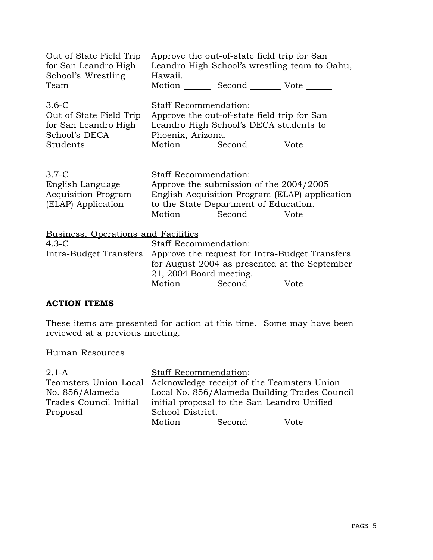| Out of State Field Trip                                                         | Approve the out-of-state field trip for San                                                                                                                                                                                   |
|---------------------------------------------------------------------------------|-------------------------------------------------------------------------------------------------------------------------------------------------------------------------------------------------------------------------------|
| for San Leandro High                                                            | Leandro High School's wrestling team to Oahu,                                                                                                                                                                                 |
| School's Wrestling                                                              | Hawaii.                                                                                                                                                                                                                       |
| Team                                                                            | Motion _________ Second __________ Vote _______                                                                                                                                                                               |
| $3.6-C$                                                                         | <b>Staff Recommendation:</b>                                                                                                                                                                                                  |
| Out of State Field Trip                                                         | Approve the out-of-state field trip for San                                                                                                                                                                                   |
| for San Leandro High                                                            | Leandro High School's DECA students to                                                                                                                                                                                        |
| School's DECA                                                                   | Phoenix, Arizona.                                                                                                                                                                                                             |
| Students                                                                        | Motion _________ Second __________ Vote _______                                                                                                                                                                               |
| $3.7-C$<br>English Language<br><b>Acquisition Program</b><br>(ELAP) Application | Staff Recommendation:<br>Approve the submission of the 2004/2005<br>English Acquisition Program (ELAP) application<br>to the State Department of Education.<br>Motion _________ Second __________ Vote _______                |
| Business, Operations and Facilities<br>$4.3-C$                                  | Staff Recommendation:<br>Intra-Budget Transfers Approve the request for Intra-Budget Transfers<br>for August 2004 as presented at the September<br>21, 2004 Board meeting.<br>Motion _________ Second __________ Vote _______ |

# **ACTION ITEMS**

These items are presented for action at this time. Some may have been reviewed at a previous meeting.

## Human Resources

| $2.1-A$                | Staff Recommendation:                                            |  |  |
|------------------------|------------------------------------------------------------------|--|--|
|                        | Teamsters Union Local Acknowledge receipt of the Teamsters Union |  |  |
| No. 856/Alameda        | Local No. 856/Alameda Building Trades Council                    |  |  |
| Trades Council Initial | initial proposal to the San Leandro Unified                      |  |  |
| Proposal               | School District.                                                 |  |  |
|                        | Motion Second Vote                                               |  |  |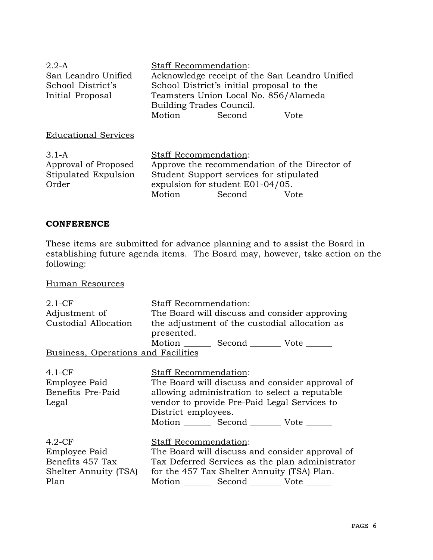| $2.2-A$                     | Staff Recommendation:                          |  |  |
|-----------------------------|------------------------------------------------|--|--|
| San Leandro Unified         | Acknowledge receipt of the San Leandro Unified |  |  |
| School District's           | School District's initial proposal to the      |  |  |
| Initial Proposal            | Teamsters Union Local No. 856/Alameda          |  |  |
|                             | Building Trades Council.                       |  |  |
|                             | Motion Second Vote                             |  |  |
| <b>Educational Services</b> |                                                |  |  |
| $3.1 - A$                   | Staff Recommendation:                          |  |  |
| Approval of Proposed        | Approve the recommendation of the Director of  |  |  |
| Stipulated Expulsion        | Student Support services for stipulated        |  |  |
| Order                       | expulsion for student E01-04/05.               |  |  |
|                             | Motion Second Vote                             |  |  |

### **CONFERENCE**

These items are submitted for advance planning and to assist the Board in establishing future agenda items. The Board may, however, take action on the following:

Human Resources

| $2.1 - CF$                          | Staff Recommendation:                            |  |  |
|-------------------------------------|--------------------------------------------------|--|--|
| Adjustment of                       | The Board will discuss and consider approving    |  |  |
| Custodial Allocation                | the adjustment of the custodial allocation as    |  |  |
|                                     | presented.                                       |  |  |
|                                     | Motion Second Vote ______                        |  |  |
| Business, Operations and Facilities |                                                  |  |  |
| $4.1 - CF$                          | <b>Staff Recommendation:</b>                     |  |  |
|                                     |                                                  |  |  |
| Employee Paid                       | The Board will discuss and consider approval of  |  |  |
| Benefits Pre-Paid                   | allowing administration to select a reputable    |  |  |
| Legal                               | vendor to provide Pre-Paid Legal Services to     |  |  |
|                                     | District employees.                              |  |  |
|                                     | Motion Second Vote                               |  |  |
| $4.2-CF$                            | Staff Recommendation:                            |  |  |
| Employee Paid                       | The Board will discuss and consider approval of  |  |  |
| Benefits 457 Tax                    | Tax Deferred Services as the plan administrator  |  |  |
|                                     | for the 457 Tax Shelter Annuity (TSA) Plan.      |  |  |
| Shelter Annuity (TSA)               |                                                  |  |  |
| Plan                                | Motion _________ Second ___________ Vote _______ |  |  |